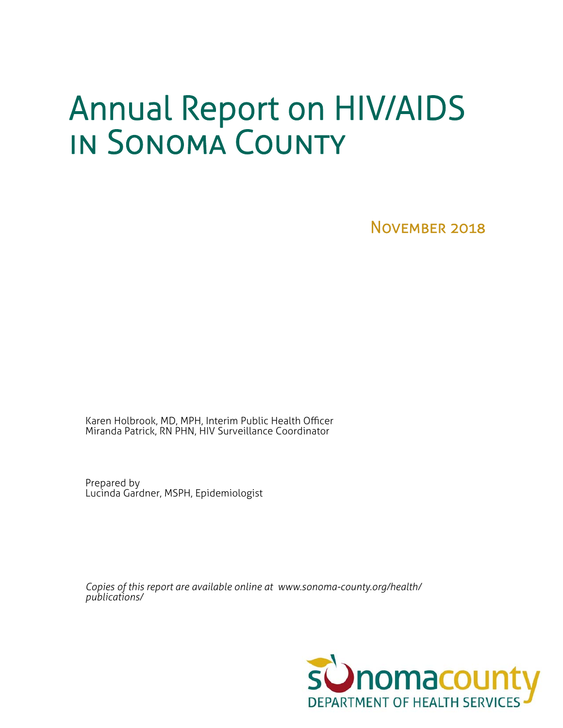# Annual Report on HIV/AIDS in Sonoma County

November 2018

Karen Holbrook, MD, MPH, Interim Public Health Officer Miranda Patrick, RN PHN, HIV Surveillance Coordinator

Prepared by Lucinda Gardner, MSPH, Epidemiologist

*Copies of this report are available online at www.sonoma-county.org/health/ publications/*

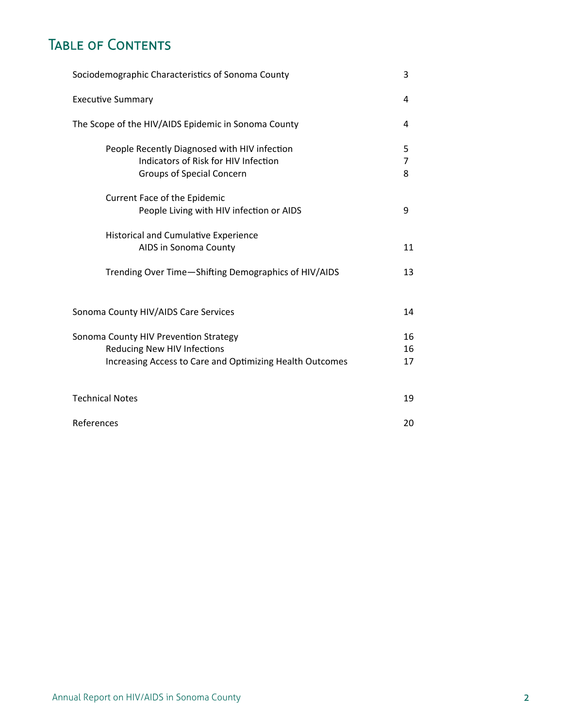# TABLE OF CONTENTS

| Sociodemographic Characteristics of Sonoma County<br>3                                                                                  |                |  |  |  |  |  |
|-----------------------------------------------------------------------------------------------------------------------------------------|----------------|--|--|--|--|--|
| <b>Executive Summary</b>                                                                                                                | 4              |  |  |  |  |  |
| The Scope of the HIV/AIDS Epidemic in Sonoma County                                                                                     | 4              |  |  |  |  |  |
| People Recently Diagnosed with HIV infection<br>Indicators of Risk for HIV Infection<br><b>Groups of Special Concern</b>                | 5<br>7<br>8    |  |  |  |  |  |
| Current Face of the Epidemic<br>People Living with HIV infection or AIDS                                                                | 9              |  |  |  |  |  |
| <b>Historical and Cumulative Experience</b><br>AIDS in Sonoma County                                                                    | 11             |  |  |  |  |  |
| Trending Over Time-Shifting Demographics of HIV/AIDS                                                                                    | 13             |  |  |  |  |  |
| Sonoma County HIV/AIDS Care Services                                                                                                    | 14             |  |  |  |  |  |
| Sonoma County HIV Prevention Strategy<br><b>Reducing New HIV Infections</b><br>Increasing Access to Care and Optimizing Health Outcomes | 16<br>16<br>17 |  |  |  |  |  |
| <b>Technical Notes</b>                                                                                                                  | 19             |  |  |  |  |  |
| References                                                                                                                              | 20             |  |  |  |  |  |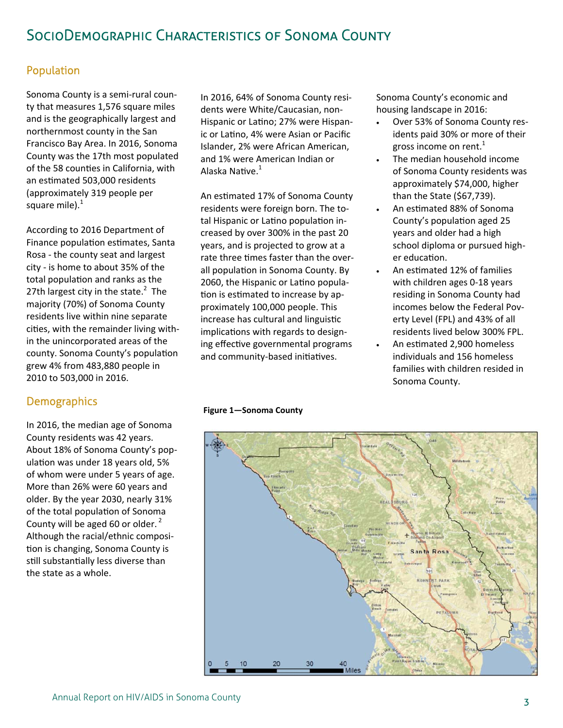# SocioDemographic Characteristics of Sonoma County

### Population

Sonoma County is a semi‐rural coun‐ ty that measures 1,576 square miles and is the geographically largest and northernmost county in the San Francisco Bay Area. In 2016, Sonoma County was the 17th most populated of the 58 counties in California, with an estimated 503,000 residents (approximately 319 people per square mile). $^1$ 

According to 2016 Department of Finance population estimates, Santa Rosa ‐ the county seat and largest city ‐ is home to about 35% of the total population and ranks as the 27th largest city in the state. $2$  The majority (70%) of Sonoma County residents live within nine separate cities, with the remainder living within the unincorporated areas of the county. Sonoma County's population grew 4% from 483,880 people in 2010 to 503,000 in 2016.

#### **Demographics**

In 2016, the median age of Sonoma County residents was 42 years. About 18% of Sonoma County's pop‐ ulation was under 18 years old, 5% of whom were under 5 years of age. More than 26% were 60 years and older. By the year 2030, nearly 31% of the total population of Sonoma County will be aged 60 or older. $<sup>2</sup>$ </sup> Although the racial/ethnic composi‐ tion is changing, Sonoma County is still substantially less diverse than the state as a whole.

In 2016, 64% of Sonoma County resi‐ dents were White/Caucasian, non‐ Hispanic or Latino; 27% were Hispanic or Latino, 4% were Asian or Pacific Islander, 2% were African American, and 1% were American Indian or Alaska Native.<sup>1</sup>

An estimated 17% of Sonoma County residents were foreign born. The to‐ tal Hispanic or Latino population increased by over 300% in the past 20 years, and is projected to grow at a rate three times faster than the overall population in Sonoma County. By 2060, the Hispanic or Latino population is estimated to increase by approximately 100,000 people. This increase has cultural and linguistic implications with regards to designing effective governmental programs and community-based initiatives.

**Figure 1—Sonoma County** 

Sonoma County's economic and housing landscape in 2016:

- Over 53% of Sonoma County res‐ idents paid 30% or more of their gross income on rent.<sup>1</sup>
- The median household income of Sonoma County residents was approximately \$74,000, higher than the State (\$67,739).
- An estimated 88% of Sonoma County's population aged 25 years and older had a high school diploma or pursued high‐ er education.
- An estimated 12% of families with children ages 0‐18 years residing in Sonoma County had incomes below the Federal Pov‐ erty Level (FPL) and 43% of all residents lived below 300% FPL.
- An estimated 2,900 homeless individuals and 156 homeless families with children resided in Sonoma County.

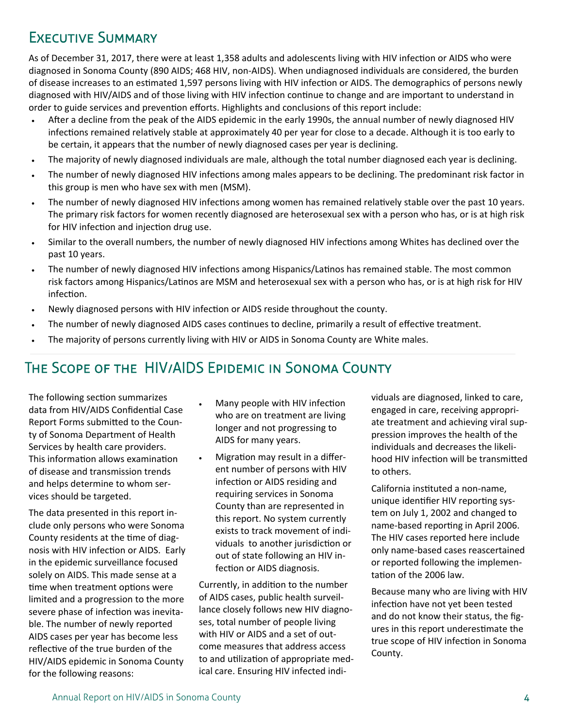# Executive Summary

As of December 31, 2017, there were at least 1,358 adults and adolescents living with HIV infection or AIDS who were diagnosed in Sonoma County (890 AIDS; 468 HIV, non‐AIDS). When undiagnosed individuals are considered, the burden of disease increases to an estimated 1,597 persons living with HIV infection or AIDS. The demographics of persons newly diagnosed with HIV/AIDS and of those living with HIV infection continue to change and are important to understand in order to guide services and prevention efforts. Highlights and conclusions of this report include:

- After a decline from the peak of the AIDS epidemic in the early 1990s, the annual number of newly diagnosed HIV infections remained relatively stable at approximately 40 per year for close to a decade. Although it is too early to be certain, it appears that the number of newly diagnosed cases per year is declining.
- The majority of newly diagnosed individuals are male, although the total number diagnosed each year is declining.
- The number of newly diagnosed HIV infections among males appears to be declining. The predominant risk factor in this group is men who have sex with men (MSM).
- The number of newly diagnosed HIV infections among women has remained relatively stable over the past 10 years. The primary risk factors for women recently diagnosed are heterosexual sex with a person who has, or is at high risk for HIV infection and injection drug use.
- Similar to the overall numbers, the number of newly diagnosed HIV infections among Whites has declined over the past 10 years.
- The number of newly diagnosed HIV infections among Hispanics/Latinos has remained stable. The most common risk factors among Hispanics/Latinos are MSM and heterosexual sex with a person who has, or is at high risk for HIV infection.
- Newly diagnosed persons with HIV infection or AIDS reside throughout the county.
- The number of newly diagnosed AIDS cases continues to decline, primarily a result of effective treatment.
- The majority of persons currently living with HIV or AIDS in Sonoma County are White males.

# The Scope of the HIV/AIDS Epidemic in Sonoma County

The following section summarizes data from HIV/AIDS Confidential Case Report Forms submitted to the County of Sonoma Department of Health Services by health care providers. This information allows examination of disease and transmission trends and helps determine to whom ser‐ vices should be targeted.

The data presented in this report in‐ clude only persons who were Sonoma County residents at the time of diagnosis with HIV infection or AIDS. Early in the epidemic surveillance focused solely on AIDS. This made sense at a time when treatment options were limited and a progression to the more severe phase of infection was inevitable. The number of newly reported AIDS cases per year has become less reflective of the true burden of the HIV/AIDS epidemic in Sonoma County for the following reasons:

- Many people with HIV infection who are on treatment are living longer and not progressing to AIDS for many years.
- Migration may result in a different number of persons with HIV infection or AIDS residing and requiring services in Sonoma County than are represented in this report. No system currently exists to track movement of indi‐ viduals to another jurisdiction or out of state following an HIV in‐ fection or AIDS diagnosis.

Currently, in addition to the number of AIDS cases, public health surveil‐ lance closely follows new HIV diagno‐ ses, total number of people living with HIV or AIDS and a set of out‐ come measures that address access to and utilization of appropriate medical care. Ensuring HIV infected indi‐

viduals are diagnosed, linked to care, engaged in care, receiving appropri‐ ate treatment and achieving viral sup‐ pression improves the health of the individuals and decreases the likeli‐ hood HIV infection will be transmitted to others.

California insƟtuted a non‐name, unique identifier HIV reporting system on July 1, 2002 and changed to name-based reporting in April 2006. The HIV cases reported here include only name‐based cases reascertained or reported following the implemen‐ tation of the 2006 law.

Because many who are living with HIV infection have not yet been tested and do not know their status, the fig‐ ures in this report underestimate the true scope of HIV infection in Sonoma County.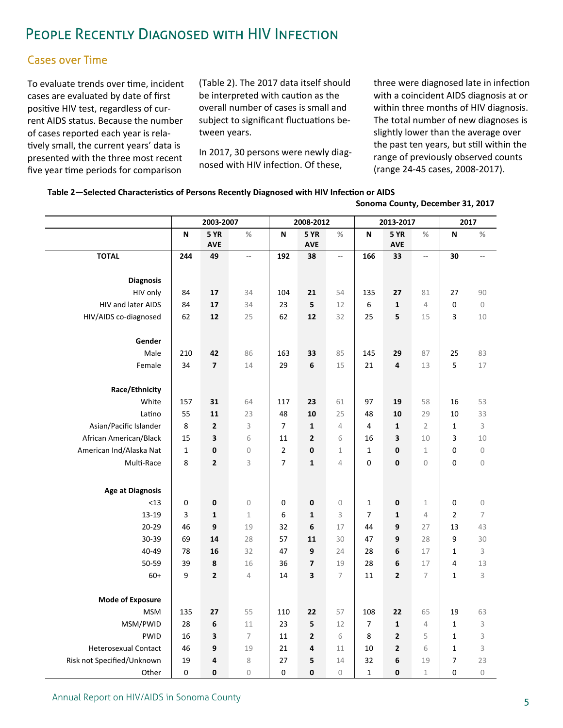# People Recently Diagnosed with HIV Infection

### Cases over Time

To evaluate trends over time, incident cases are evaluated by date of first positive HIV test, regardless of current AIDS status. Because the number of cases reported each year is rela‐ tively small, the current years' data is presented with the three most recent five year time periods for comparison

(Table 2). The 2017 data itself should be interpreted with caution as the overall number of cases is small and subject to significant fluctuations between years.

In 2017, 30 persons were newly diag‐ nosed with HIV infection. Of these,

three were diagnosed late in infection with a coincident AIDS diagnosis at or within three months of HIV diagnosis. The total number of new diagnoses is slightly lower than the average over the past ten years, but still within the range of previously observed counts (range 24‐45 cases, 2008‐2017).

 **Sonoma County, December 31, 2017** 

|                             | 2003-2007   |                           |                          | 2008-2012        |                   | 2013-2017                |                               |                   | 2017                     |                               |                  |
|-----------------------------|-------------|---------------------------|--------------------------|------------------|-------------------|--------------------------|-------------------------------|-------------------|--------------------------|-------------------------------|------------------|
|                             | N           | <b>5 YR</b>               | $\%$                     | N                | <b>5 YR</b>       | $\frac{0}{2}$            | N                             | <b>5 YR</b>       | %                        | N                             | $\%$             |
|                             |             | <b>AVE</b>                |                          |                  | <b>AVE</b>        |                          |                               | <b>AVE</b>        |                          |                               |                  |
| <b>TOTAL</b>                | 244         | 49                        | $\overline{\phantom{a}}$ | 192              | 38                | $\overline{\phantom{a}}$ | 166                           | 33                | $\overline{\phantom{a}}$ | 30                            |                  |
|                             |             |                           |                          |                  |                   |                          |                               |                   |                          |                               |                  |
| <b>Diagnosis</b>            |             |                           |                          |                  |                   |                          |                               |                   |                          |                               |                  |
| HIV only                    | 84          | 17                        | 34                       | 104              | 21                | 54                       | 135                           | 27                | 81                       | 27                            | 90               |
| HIV and later AIDS          | 84          | 17                        | 34                       | 23               | 5                 | 12                       | 6                             | 1                 | $\sqrt{4}$               | $\mathbf 0$                   | $\mathbf 0$      |
| HIV/AIDS co-diagnosed       | 62          | 12                        | 25                       | 62               | 12                | 32                       | 25                            | 5                 | 15                       | 3                             | 10               |
| Gender                      |             |                           |                          |                  |                   |                          |                               |                   |                          |                               |                  |
| Male                        | 210         |                           | 86                       | 163              | 33                | 85                       | 145                           | 29                | 87                       | 25                            | 83               |
| Female                      | 34          | 42<br>$\overline{7}$      |                          | 29               | 6                 |                          | 21                            | 4                 | 13                       |                               |                  |
|                             |             |                           | 14                       |                  |                   | 15                       |                               |                   |                          | 5                             | 17               |
| Race/Ethnicity              |             |                           |                          |                  |                   |                          |                               |                   |                          |                               |                  |
| White                       | 157         | 31                        | 64                       | 117              | 23                | 61                       | 97                            | 19                | 58                       | 16                            | 53               |
| Latino                      | 55          | 11                        | 23                       | 48               | 10                | 25                       | 48                            | 10                | 29                       | 10                            | 33               |
| Asian/Pacific Islander      | 8           | $\mathbf{2}$              | 3                        | $\overline{7}$   | $\mathbf{1}$      | $\overline{4}$           | $\overline{4}$                | $\mathbf{1}$      | $\overline{2}$           | $\mathbf{1}$                  | 3                |
| African American/Black      | 15          | 3                         | 6                        | 11               | $\mathbf{2}$      | 6                        | 16                            | 3                 | 10                       | 3                             | 10               |
| American Ind/Alaska Nat     | $\mathbf 1$ | $\pmb{0}$                 | $\mathcal O$             | $\overline{2}$   | 0                 | $1\,$                    | $\mathbf{1}$                  | 0                 | $\,1\,$                  | $\overline{0}$                | $\mathbf 0$      |
| Multi-Race                  | 8           | $\mathbf{2}$              | 3                        | $\overline{7}$   | $\mathbf{1}$      | 4                        | 0                             | 0                 | $\overline{0}$           | $\mathbf 0$                   | $\mathbf 0$      |
|                             |             |                           |                          |                  |                   |                          |                               |                   |                          |                               |                  |
|                             |             |                           |                          |                  |                   |                          |                               |                   |                          |                               |                  |
| <b>Age at Diagnosis</b>     |             |                           |                          |                  |                   |                          |                               |                   |                          |                               |                  |
| $<$ 13<br>13-19             | 0<br>3      | $\pmb{0}$<br>$\mathbf{1}$ | $\mathbb O$<br>$1\,$     | $\mathbf 0$<br>6 | 0<br>$\mathbf{1}$ | $\mathcal O$<br>3        | $\mathbf 1$<br>$\overline{7}$ | 0<br>$\mathbf{1}$ | $1\,$<br>$\overline{4}$  | $\mathbf 0$<br>$\overline{2}$ | $\mathbf 0$<br>7 |
| $20 - 29$                   | 46          | 9                         | 19                       | 32               | 6                 | 17                       | 44                            | 9                 | 27                       | 13                            | 43               |
| 30-39                       | 69          | 14                        | 28                       | 57               | 11                | 30                       | 47                            | 9                 | 28                       | 9                             | 30               |
| 40-49                       | 78          | 16                        | 32                       | 47               | 9                 | 24                       | 28                            | 6                 | 17                       | $\mathbf 1$                   | 3                |
| 50-59                       | 39          | 8                         | 16                       | 36               | 7                 | 19                       | 28                            | 6                 | 17                       | 4                             | 13               |
| $60+$                       | 9           | $\mathbf{2}$              | 4                        | 14               | 3                 | 7                        | 11                            | $\overline{2}$    | $\overline{7}$           | $\mathbf{1}$                  | 3                |
|                             |             |                           |                          |                  |                   |                          |                               |                   |                          |                               |                  |
| <b>Mode of Exposure</b>     |             |                           |                          |                  |                   |                          |                               |                   |                          |                               |                  |
| <b>MSM</b>                  | 135         | 27                        | 55                       | 110              | 22                | 57                       | 108                           | 22                | 65                       | 19                            | 63               |
| MSM/PWID                    | 28          | 6                         | 11                       | 23               | 5                 | 12                       | $\overline{7}$                | $\mathbf{1}$      | $\sqrt{4}$               | $\mathbf{1}$                  | 3                |
| <b>PWID</b>                 | 16          | 3                         | 7                        | 11               | $\mathbf{2}$      | 6                        | 8                             | $\mathbf{2}$      | 5                        | $\mathbf{1}$                  | 3                |
| <b>Heterosexual Contact</b> | 46          | 9                         | 19                       | 21               | 4                 | 11                       | 10                            | 2                 | 6                        | $\mathbf{1}$                  | 3                |
| Risk not Specified/Unknown  | 19          | 4                         | 8                        | 27               | 5                 | 14                       | 32                            | 6                 | 19                       | 7                             | 23               |
| Other                       | 0           | 0                         | $\mathcal O$             | $\mathbf 0$      | 0                 | $\mathcal O$             | $\mathbf{1}$                  | 0                 | $\mathbf 1$              | $\mathbf 0$                   | $\mathcal O$     |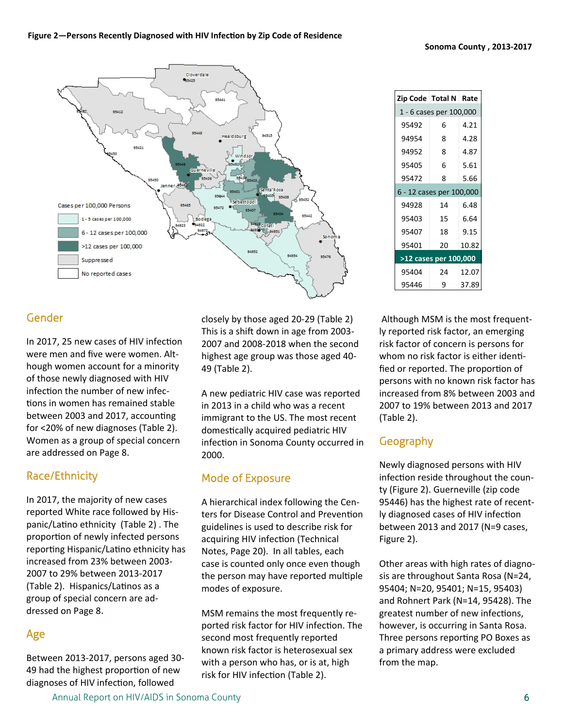

#### Gender

In 2017, 25 new cases of HIV infection were men and five were women. Alt‐ hough women account for a minority of those newly diagnosed with HIV infection the number of new infections in women has remained stable between 2003 and 2017, accounting for <20% of new diagnoses (Table 2). Women as a group of special concern are addressed on Page 8.

#### Race/Ethnicity

In 2017, the majority of new cases reported White race followed by His‐ panic/Latino ethnicity (Table 2). The proportion of newly infected persons reporting Hispanic/Latino ethnicity has increased from 23% between 2003‐ 2007 to 29% between 2013‐2017 (Table 2). Hispanics/Latinos as a group of special concern are ad‐ dressed on Page 8**.** 

### Age

Between 2013‐2017, persons aged 30‐ 49 had the highest proportion of new diagnoses of HIV infection, followed

closely by those aged 20‐29 (Table 2) This is a shift down in age from 2003-2007 and 2008‐2018 when the second highest age group was those aged 40‐ 49 (Table 2).

A new pediatric HIV case was reported in 2013 in a child who was a recent immigrant to the US. The most recent domestically acquired pediatric HIV infection in Sonoma County occurred in 2000.

### Mode of Exposure

A hierarchical index following the Cen‐ ters for Disease Control and Prevention guidelines is used to describe risk for acquiring HIV infection (Technical Notes, Page 20). In all tables, each case is counted only once even though the person may have reported multiple modes of exposure.

MSM remains the most frequently re‐ ported risk factor for HIV infection. The second most frequently reported known risk factor is heterosexual sex with a person who has, or is at, high risk for HIV infection (Table 2).

| Zip Code   Total N   Rate |                       |       |
|---------------------------|-----------------------|-------|
| 1 - 6 cases per 100,000   |                       |       |
| 95492                     | 6                     | 4.21  |
| 94954                     | 8                     | 4.28  |
| 94952                     | 8                     | 4.87  |
| 95405                     | 6                     | 5.61  |
| 95472                     | 8                     | 5.66  |
| 6 - 12 cases per 100,000  |                       |       |
| 94928                     | 14                    | 6.48  |
| 95403                     | 15                    | 6.64  |
| 95407                     | 18                    | 9.15  |
| 95401                     | 20                    | 10.82 |
|                           | >12 cases per 100,000 |       |
| 95404                     | 24                    | 12.07 |
| 95446                     | ٩                     | 37.89 |

 Although MSM is the most frequent‐ ly reported risk factor, an emerging risk factor of concern is persons for whom no risk factor is either identified or reported. The proportion of persons with no known risk factor has increased from 8% between 2003 and 2007 to 19% between 2013 and 2017 (Table 2).

### Geography

Newly diagnosed persons with HIV infection reside throughout the county (Figure 2). Guerneville (zip code 95446) has the highest rate of recent‐ ly diagnosed cases of HIV infection between 2013 and 2017 (N=9 cases, Figure 2).

Other areas with high rates of diagno‐ sis are throughout Santa Rosa (N=24, 95404; N=20, 95401; N=15, 95403) and Rohnert Park (N=14, 95428). The greatest number of new infections, however, is occurring in Santa Rosa. Three persons reporting PO Boxes as a primary address were excluded from the map.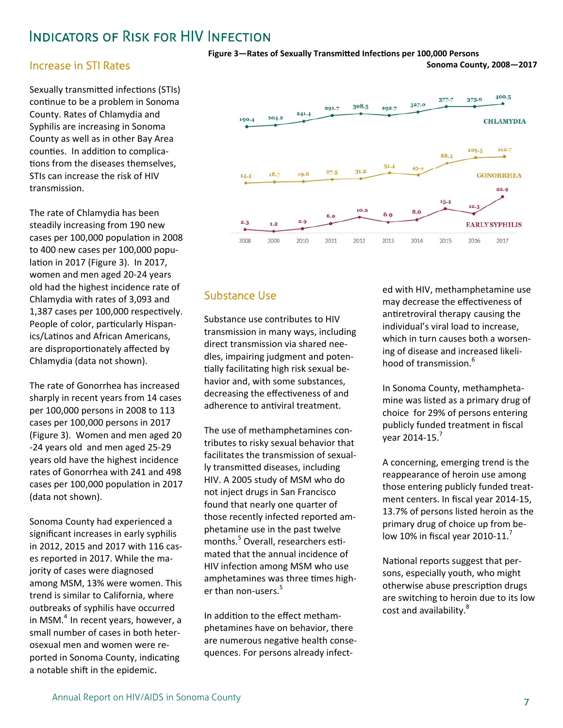### **INDICATORS OF RISK FOR HIV INFECTION**

#### **Increase in STI Rates**

Sexually transmitted infections (STIs) continue to be a problem in Sonoma County. Rates of Chlamydia and Syphilis are increasing in Sonoma County as well as in other Bay Area counties. In addition to complications from the diseases themselves. STIs can increase the risk of HIV transmission.

The rate of Chlamydia has been steadily increasing from 190 new cases per 100,000 population in 2008 to 400 new cases per 100,000 population in 2017 (Figure 3). In 2017, women and men aged 20-24 years old had the highest incidence rate of Chlamydia with rates of 3,093 and 1,387 cases per 100,000 respectively. People of color, particularly Hispanics/Latinos and African Americans, are disproportionately affected by Chlamydia (data not shown).

The rate of Gonorrhea has increased sharply in recent years from 14 cases per 100,000 persons in 2008 to 113 cases per 100,000 persons in 2017 (Figure 3). Women and men aged 20 -24 years old and men aged 25-29 years old have the highest incidence rates of Gonorrhea with 241 and 498 cases per 100,000 population in 2017 (data not shown).

Sonoma County had experienced a significant increases in early syphilis in 2012, 2015 and 2017 with 116 cases reported in 2017. While the majority of cases were diagnosed among MSM, 13% were women. This trend is similar to California, where outbreaks of syphilis have occurred in MSM.<sup>4</sup> In recent years, however, a small number of cases in both heterosexual men and women were reported in Sonoma County, indicating a notable shift in the epidemic.





### **Substance Use**

Substance use contributes to HIV transmission in many ways, including direct transmission via shared needles, impairing judgment and potentially facilitating high risk sexual behavior and, with some substances, decreasing the effectiveness of and adherence to antiviral treatment.

The use of methamphetamines contributes to risky sexual behavior that facilitates the transmission of sexually transmitted diseases, including HIV. A 2005 study of MSM who do not inject drugs in San Francisco found that nearly one quarter of those recently infected reported amphetamine use in the past twelve months.<sup>5</sup> Overall, researchers estimated that the annual incidence of HIV infection among MSM who use amphetamines was three times higher than non-users.<sup>5</sup>

In addition to the effect methamphetamines have on behavior, there are numerous negative health consequences. For persons already infected with HIV, methamphetamine use may decrease the effectiveness of antiretroviral therapy causing the individual's viral load to increase. which in turn causes both a worsening of disease and increased likelihood of transmission.<sup>6</sup>

In Sonoma County, methamphetamine was listed as a primary drug of choice for 29% of persons entering publicly funded treatment in fiscal vear 2014-15.<sup>7</sup>

A concerning, emerging trend is the reappearance of heroin use among those entering publicly funded treatment centers. In fiscal year 2014-15, 13.7% of persons listed heroin as the primary drug of choice up from below 10% in fiscal year 2010-11.

National reports suggest that persons, especially youth, who might otherwise abuse prescription drugs are switching to heroin due to its low cost and availability.<sup>8</sup>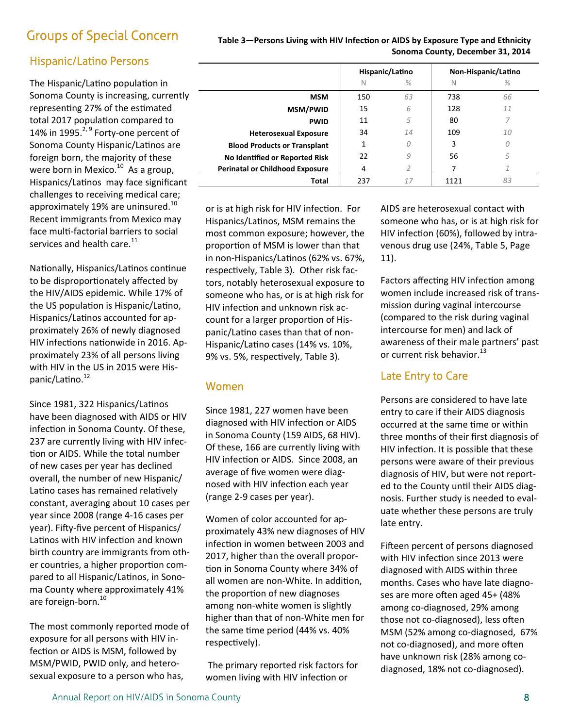## Groups of Special Concern

### Hispanic/Latino Persons

The Hispanic/Latino population in Sonoma County is increasing, currently representing 27% of the estimated total 2017 population compared to 14% in 1995. $^{2,9}$  Forty-one percent of Sonoma County Hispanic/Latinos are foreign born, the majority of these were born in Mexico.<sup>10</sup> As a group, Hispanics/Latinos may face significant challenges to receiving medical care; approximately 19% are uninsured.<sup>10</sup> Recent immigrants from Mexico may face multi-factorial barriers to social services and health care. $^{11}$ 

Nationally, Hispanics/Latinos continue to be disproportionately affected by the HIV/AIDS epidemic. While 17% of the US population is Hispanic/Latino, Hispanics/Latinos accounted for approximately 26% of newly diagnosed HIV infections nationwide in 2016. Approximately 23% of all persons living with HIV in the US in 2015 were His‐ panic/Latino.<sup>12</sup>

Since 1981, 322 Hispanics/Latinos have been diagnosed with AIDS or HIV infection in Sonoma County. Of these, 237 are currently living with HIV infec‐ tion or AIDS. While the total number of new cases per year has declined overall, the number of new Hispanic/ Latino cases has remained relatively constant, averaging about 10 cases per year since 2008 (range 4‐16 cases per year). Fifty-five percent of Hispanics/ Latinos with HIV infection and known birth country are immigrants from oth‐ er countries, a higher proportion compared to all Hispanic/Latinos, in Sonoma County where approximately 41% are foreign-born.<sup>10</sup>

The most commonly reported mode of exposure for all persons with HIV in‐ fection or AIDS is MSM, followed by MSM/PWID, PWID only, and hetero‐ sexual exposure to a person who has,

#### Table 3-Persons Living with HIV Infection or AIDS by Exposure Type and Ethnicity  **Sonoma County, December 31, 2014**

|                                        | Hispanic/Latino |      |     | Non-Hispanic/Latino |
|----------------------------------------|-----------------|------|-----|---------------------|
|                                        | N               | $\%$ | N   | $\%$                |
| <b>MSM</b>                             | 150             | 63   | 738 | 66                  |
| <b>MSM/PWID</b>                        | 15              | 6    | 128 | 11                  |
| <b>PWID</b>                            | 11              | 5    | 80  | 7                   |
| <b>Heterosexual Exposure</b>           | 34              | 14   | 109 | 10                  |
| <b>Blood Products or Transplant</b>    | 1               | 0    | 3   | 0                   |
| No Identified or Reported Risk         | 22              | 9    | 56  | 5                   |
| <b>Perinatal or Childhood Exposure</b> | 4               | 2    |     |                     |
| Total                                  | 237             | 17   |     | 83                  |

or is at high risk for HIV infection. For Hispanics/Latinos, MSM remains the most common exposure; however, the proportion of MSM is lower than that in non-Hispanics/Latinos (62% vs. 67%, respectively, Table 3). Other risk factors, notably heterosexual exposure to someone who has, or is at high risk for HIV infection and unknown risk account for a larger proportion of Hispanic/Latino cases than that of non-Hispanic/Latino cases (14% vs. 10%, 9% vs. 5%, respectively, Table 3).

#### Women

Since 1981, 227 women have been diagnosed with HIV infection or AIDS in Sonoma County (159 AIDS, 68 HIV). Of these, 166 are currently living with HIV infection or AIDS. Since 2008, an average of five women were diag‐ nosed with HIV infection each year (range 2‐9 cases per year).

Women of color accounted for ap‐ proximately 43% new diagnoses of HIV infection in women between 2003 and 2017, higher than the overall propor‐ tion in Sonoma County where 34% of all women are non-White. In addition, the proportion of new diagnoses among non‐white women is slightly higher than that of non‐White men for the same time period (44% vs. 40% respectively).

The primary reported risk factors for women living with HIV infection or

AIDS are heterosexual contact with someone who has, or is at high risk for HIV infection (60%), followed by intravenous drug use (24%, Table 5, Page 11).

Factors affecting HIV infection among women include increased risk of trans‐ mission during vaginal intercourse (compared to the risk during vaginal intercourse for men) and lack of awareness of their male partners' past or current risk behavior.<sup>13</sup>

### Late Entry to Care

Persons are considered to have late entry to care if their AIDS diagnosis occurred at the same time or within three months of their first diagnosis of HIV infection. It is possible that these persons were aware of their previous diagnosis of HIV, but were not report‐ ed to the County until their AIDS diagnosis. Further study is needed to eval‐ uate whether these persons are truly late entry.

Fifteen percent of persons diagnosed with HIV infection since 2013 were diagnosed with AIDS within three months. Cases who have late diagno‐ ses are more often aged 45+ (48% among co‐diagnosed, 29% among those not co-diagnosed), less often MSM (52% among co‐diagnosed, 67% not co-diagnosed), and more often have unknown risk (28% among co‐ diagnosed, 18% not co‐diagnosed).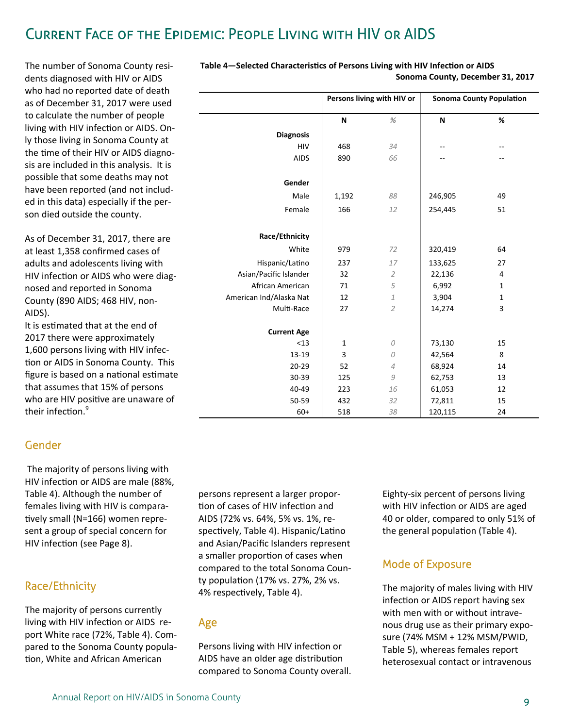# Current Face of the Epidemic: People Living with HIV or AIDS

The number of Sonoma County resi‐ dents diagnosed with HIV or AIDS who had no reported date of death as of December 31, 2017 were used to calculate the number of people living with HIV infection or AIDS. Only those living in Sonoma County at the time of their HIV or AIDS diagnosis are included in this analysis. It is possible that some deaths may not have been reported (and not includ‐ ed in this data) especially if the per‐ son died outside the county.

As of December 31, 2017, there are at least 1,358 confirmed cases of adults and adolescents living with HIV infection or AIDS who were diagnosed and reported in Sonoma County (890 AIDS; 468 HIV, non‐ AIDS).

It is estimated that at the end of 2017 there were approximately 1,600 persons living with HIV infec‐ tion or AIDS in Sonoma County. This figure is based on a national estimate that assumes that 15% of persons who are HIV positive are unaware of their infection.<sup>9</sup>

#### Gender

 The majority of persons living with HIV infection or AIDS are male (88%, Table 4). Although the number of females living with HIV is compara‐ tively small (N=166) women represent a group of special concern for HIV infection (see Page 8).

### Race/Ethnicity

The majority of persons currently living with HIV infection or AIDS report White race (72%, Table 4). Com‐ pared to the Sonoma County popula‐ tion, White and African American

persons represent a larger propor‐ tion of cases of HIV infection and AIDS (72% vs. 64%, 5% vs. 1%, re‐ spectively, Table 4). Hispanic/Latino and Asian/Pacific Islanders represent a smaller proportion of cases when compared to the total Sonoma Coun‐ ty population (17% vs. 27%, 2% vs. 4% respectively, Table 4).

**Current Age** 

#### Age

Persons living with HIV infection or AIDS have an older age distribution compared to Sonoma County overall. Eighty‐six percent of persons living with HIV infection or AIDS are aged 40 or older, compared to only 51% of the general population (Table 4).

### Mode of Exposure

The majority of males living with HIV infection or AIDS report having sex with men with or without intrave‐ nous drug use as their primary expo‐ sure (74% MSM + 12% MSM/PWID, Table 5), whereas females report heterosexual contact or intravenous

|                        |       | Sonoma County, December 31, 2017 |         |                                 |
|------------------------|-------|----------------------------------|---------|---------------------------------|
|                        |       | Persons living with HIV or       |         | <b>Sonoma County Population</b> |
|                        | N     | %                                | N       | %                               |
| <b>Diagnosis</b>       |       |                                  |         |                                 |
| <b>HIV</b>             | 468   | 34                               | --      |                                 |
| <b>AIDS</b>            | 890   | 66                               | --      | --                              |
| Gender                 |       |                                  |         |                                 |
| Male                   | 1,192 | 88                               | 246,905 | 49                              |
| Female                 | 166   | 12                               | 254,445 | 51                              |
| Race/Ethnicity         |       |                                  |         |                                 |
| White                  | 979   | 72                               | 320,419 | 64                              |
| Hispanic/Latino        | 237   | 17                               | 133,625 | 27                              |
| Asian/Pacific Islander | 32    | 2                                | 22,136  | 4                               |

African American | 71 5 | 6,992 1 American Ind/Alaska Nat | 12 1 1 3,904 1

Multi-Race 27 2 14,274 3

 <13 1 *0* 73,130 15 ‐19 3 *0* 42,564 8 ‐29 52 *4* 68,924 14 ‐39 125 *9* 62,753 13 ‐49 223 *16* 61,053 12 ‐59 432 *32* 72,811 15 60+ 518 *38* 120,115 24

# **Table 4–Selected Characteristics of Persons Living with HIV Infection or AIDS**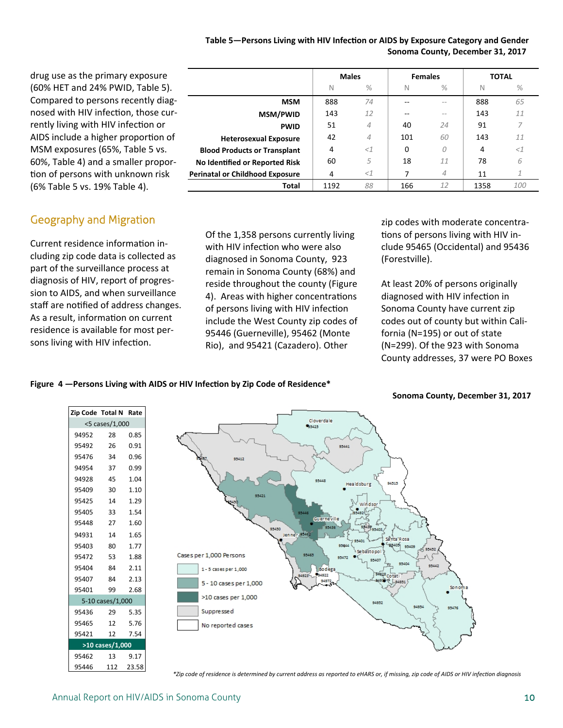#### Table 5—Persons Living with HIV Infection or AIDS by Exposure Category and Gender  **Sonoma County, December 31, 2017**

**Heterosexual Exposure** 42 *4* 101 *60* 143 *11* **Blood Products or Transplant** 4 *<1* 0 *0* 4 *<1* **No Identified or Reported Risk**  $\begin{array}{|c|c|c|c|} \hline \textbf{60} & \textbf{5} & \textbf{18} & \textbf{11} & \textbf{78} & \textbf{6} \ \hline \end{array}$ **Perinatal or Childhood Exposure** 4 *<1* 7 *4* 11 *1*

**MSM** | 888 74 | -- - - | 888 65 **MSM/PWID** 143 *12* ‐‐ *‐‐*  143 *11* **PWID** 51 4 40 24 91 7

**Total** 1192 *88* 166 *12* 1358 *100*

**Males Females TOTAL** N % N % N % N %

drug use as the primary exposure (60% HET and 24% PWID, Table 5). Compared to persons recently diag‐ nosed with HIV infection, those currently living with HIV infection or AIDS include a higher proportion of MSM exposures (65%, Table 5 vs. 60%, Table 4) and a smaller propor‐ tion of persons with unknown risk (6% Table 5 vs. 19% Table 4).

#### Geography and Migration

Current residence information including zip code data is collected as part of the surveillance process at diagnosis of HIV, report of progres‐ sion to AIDS, and when surveillance staff are notified of address changes. As a result, information on current residence is available for most per‐ sons living with HIV infection.

Of the 1,358 persons currently living with HIV infection who were also diagnosed in Sonoma County, 923 remain in Sonoma County (68%) and reside throughout the county (Figure 4). Areas with higher concentrations of persons living with HIV infection include the West County zip codes of 95446 (Guerneville), 95462 (Monte Rio), and 95421 (Cazadero). Other

zip codes with moderate concentra‐ tions of persons living with HIV include 95465 (Occidental) and 95436 (Forestville).

At least 20% of persons originally diagnosed with HIV infection in Sonoma County have current zip codes out of county but within Cali‐ fornia (N=195) or out of state (N=299). Of the 923 with Sonoma County addresses, 37 were PO Boxes

#### Figure 4 - Persons Living with AIDS or HIV Infection by Zip Code of Residence\*



\*Zip code of residence is determined by current address as reported to eHARS or, if missing, zip code of AIDS or HIV infection diagnosis

**Sonoma County, December 31, 2017**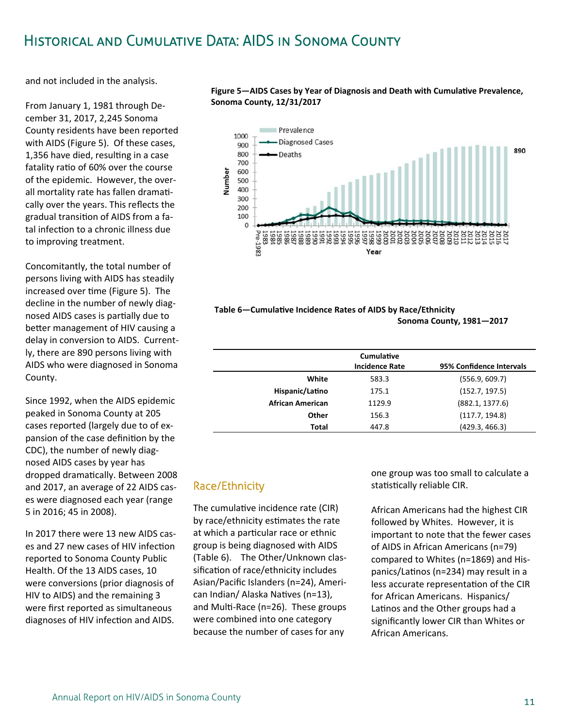# Historical and Cumulative Data: AIDS in Sonoma County

and not included in the analysis.

From January 1, 1981 through De‐ cember 31, 2017, 2,245 Sonoma County residents have been reported with AIDS (Figure 5). Of these cases, 1,356 have died, resulting in a case fatality ratio of 60% over the course of the epidemic. However, the over‐ all mortality rate has fallen dramatically over the years. This reflects the gradual transition of AIDS from a fatal infection to a chronic illness due to improving treatment.

Concomitantly, the total number of persons living with AIDS has steadily increased over time (Figure 5). The decline in the number of newly diag‐ nosed AIDS cases is partially due to better management of HIV causing a delay in conversion to AIDS. Current‐ ly, there are 890 persons living with AIDS who were diagnosed in Sonoma County.

Since 1992, when the AIDS epidemic peaked in Sonoma County at 205 cases reported (largely due to of ex‐ pansion of the case definition by the CDC), the number of newly diag‐ nosed AIDS cases by year has dropped dramatically. Between 2008 and 2017, an average of 22 AIDS cas‐ es were diagnosed each year (range 5 in 2016; 45 in 2008).

In 2017 there were 13 new AIDS cas‐ es and 27 new cases of HIV infection reported to Sonoma County Public Health. Of the 13 AIDS cases, 10 were conversions (prior diagnosis of HIV to AIDS) and the remaining 3 were first reported as simultaneous diagnoses of HIV infection and AIDS.

Figure 5-AIDS Cases by Year of Diagnosis and Death with Cumulative Prevalence, **Sonoma County, 12/31/2017** 



| Table 6–Cumulative Incidence Rates of AIDS by Race/Ethnicity |  |
|--------------------------------------------------------------|--|
| Sonoma County, 1981–2017                                     |  |

|                         | Cumulative<br><b>Incidence Rate</b> | 95% Confidence Intervals |
|-------------------------|-------------------------------------|--------------------------|
| White                   | 583.3                               | (556.9, 609.7)           |
| Hispanic/Latino         | 175.1                               | (152.7, 197.5)           |
| <b>African American</b> | 1129.9                              | (882.1, 1377.6)          |
| Other                   | 156.3                               | (117.7, 194.8)           |
| Total                   | 447.8                               | (429.3, 466.3)           |

#### Race/Ethnicity

The cumulative incidence rate (CIR) by race/ethnicity estimates the rate at which a particular race or ethnic group is being diagnosed with AIDS (Table 6). The Other/Unknown clas‐ sification of race/ethnicity includes Asian/Pacific Islanders (n=24), Ameri‐ can Indian/ Alaska Natives (n=13), and Multi-Race (n=26). These groups were combined into one category because the number of cases for any

one group was too small to calculate a statistically reliable CIR.

African Americans had the highest CIR followed by Whites. However, it is important to note that the fewer cases of AIDS in African Americans (n=79) compared to Whites (n=1869) and His‐ panics/Latinos (n=234) may result in a less accurate representation of the CIR for African Americans. Hispanics/ Latinos and the Other groups had a significantly lower CIR than Whites or African Americans.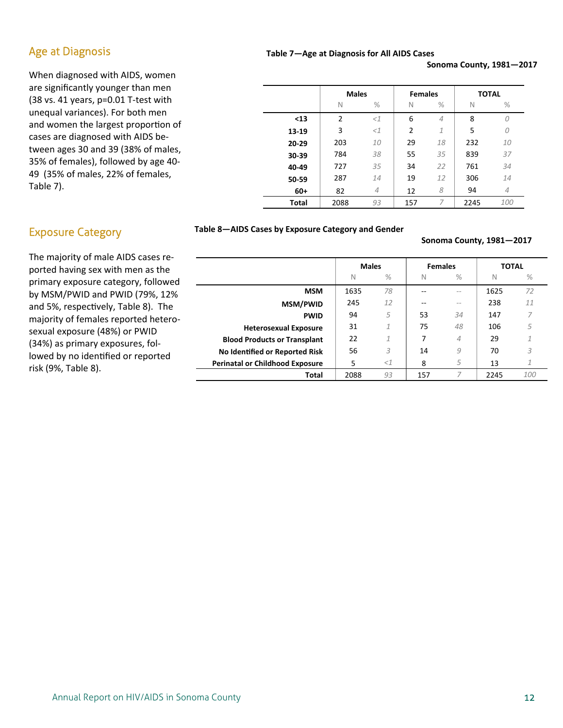#### Age at Diagnosis

When diagnosed with AIDS, women are significantly younger than men (38 vs. 41 years, p=0.01 T‐test with unequal variances). For both men and women the largest proportion of cases are diagnosed with AIDS be‐ tween ages 30 and 39 (38% of males, 35% of females), followed by age 40‐ 49 (35% of males, 22% of females, Table 7).

#### **Table 7—Age at Diagnosis for All AIDS Cases**

**Sonoma County, 1981—2017** 

|       | <b>Males</b> |                | <b>Females</b> |                | <b>TOTAL</b> |                |  |
|-------|--------------|----------------|----------------|----------------|--------------|----------------|--|
|       | N            | $\%$           | N              | $\%$           | N            | $\%$           |  |
| $13$  | 2            | $<$ $1$        | 6              | $\overline{4}$ | 8            | O              |  |
| 13-19 | 3            | $<$ $1$        | $\overline{2}$ | $\mathcal{I}$  | 5            | 0              |  |
| 20-29 | 203          | 10             | 29             | 18             | 232          | 10             |  |
| 30-39 | 784          | 38             | 55             | 35             | 839          | 37             |  |
| 40-49 | 727          | 35             | 34             | 22             | 761          | 34             |  |
| 50-59 | 287          | 14             | 19             | 12             | 306          | 14             |  |
| $60+$ | 82           | $\overline{4}$ | 12             | 8              | 94           | $\overline{4}$ |  |
| Total | 2088         | 93             | 157            | 7              | 2245         | 100            |  |

#### Exposure Category

The majority of male AIDS cases re‐ ported having sex with men as the primary exposure category, followed by MSM/PWID and PWID (79%, 12% and 5%, respectively, Table 8). The majority of females reported hetero‐ sexual exposure (48%) or PWID (34%) as primary exposures, fol‐ lowed by no identified or reported risk (9%, Table 8).

#### **Table 8—AIDS Cases by Exposure Category and Gender**

#### **Sonoma County, 1981—2017**

|                                        | <b>Males</b> |               | <b>Females</b> |         | <b>TOTAL</b> |      |
|----------------------------------------|--------------|---------------|----------------|---------|--------------|------|
|                                        | N            | $\frac{0}{0}$ | N              | $\%$    | N            | $\%$ |
| <b>MSM</b>                             | 1635         | 78            |                | $=$ $-$ | 1625         | 72   |
| <b>MSM/PWID</b>                        | 245          | 12            | --             | $=$ $-$ | 238          | 11   |
| <b>PWID</b>                            | 94           | 5             | 53             | 34      | 147          |      |
| <b>Heterosexual Exposure</b>           | 31           | 1             | 75             | 48      | 106          | 5    |
| <b>Blood Products or Transplant</b>    | 22           | $\mathcal{I}$ | 7              | 4       | 29           |      |
| No Identified or Reported Risk         | 56           | 3             | 14             | 9       | 70           | 3    |
| <b>Perinatal or Childhood Exposure</b> | 5            | <1            | 8              | 5       | 13           |      |
| Total                                  | 2088         | 93            | 157            |         | 2245         | 100  |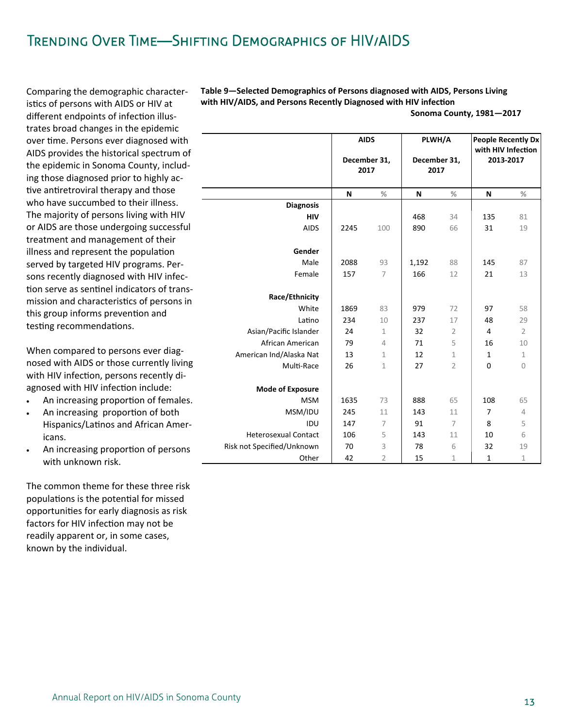# TRENDING OVER TIME-SHIFTING DEMOGRAPHICS OF HIV/AIDS

Comparing the demographic characteristics of persons with AIDS or HIV at different endpoints of infection illustrates broad changes in the epidemic over time. Persons ever diagnosed with AIDS provides the historical spectrum of the epidemic in Sonoma County, including those diagnosed prior to highly active antiretroviral therapy and those who have succumbed to their illness. The majority of persons living with HIV or AIDS are those undergoing successful treatment and management of their illness and represent the population served by targeted HIV programs. Persons recently diagnosed with HIV infection serve as sentinel indicators of transmission and characteristics of persons in this group informs prevention and testing recommendations.

When compared to persons ever diagnosed with AIDS or those currently living with HIV infection, persons recently diagnosed with HIV infection include:

- An increasing proportion of females.  $\bullet$
- An increasing proportion of both  $\bullet$ Hispanics/Latinos and African Americans.
- An increasing proportion of persons  $\bullet$ with unknown risk.

The common theme for these three risk populations is the potential for missed opportunities for early diagnosis as risk factors for HIV infection may not be readily apparent or, in some cases, known by the individual.

Table 9-Selected Demographics of Persons diagnosed with AIDS, Persons Living with HIV/AIDS, and Persons Recently Diagnosed with HIV infection

| Sonoma County, 1981-2017 |  |
|--------------------------|--|
|--------------------------|--|

|                                            | <b>AIDS</b><br>December 31,<br>2017 |                               | PLWH/A<br>December 31,<br>2017 |                     | <b>People Recently Dx</b><br>with HIV Infection<br>2013-2017 |                      |
|--------------------------------------------|-------------------------------------|-------------------------------|--------------------------------|---------------------|--------------------------------------------------------------|----------------------|
|                                            | N                                   | %                             | N                              | %                   | N                                                            | %                    |
| <b>Diagnosis</b>                           |                                     |                               |                                |                     |                                                              |                      |
| <b>HIV</b>                                 |                                     |                               | 468                            | 34                  | 135                                                          | 81                   |
| <b>AIDS</b>                                | 2245                                | 100                           | 890                            | 66                  | 31                                                           | 19                   |
| Gender                                     |                                     |                               |                                |                     |                                                              |                      |
| Male                                       | 2088                                | 93                            | 1,192                          | 88                  | 145                                                          | 87                   |
| Female                                     | 157                                 | $\overline{7}$                | 166                            | 12                  | 21                                                           | 13                   |
| Race/Ethnicity                             |                                     |                               |                                |                     |                                                              |                      |
| White                                      | 1869                                | 83                            | 979                            | 72                  | 97                                                           | 58                   |
| Latino                                     | 234                                 | 10                            | 237                            | 17                  | 48                                                           | 29                   |
| Asian/Pacific Islander<br>African American | 24<br>79                            | $\mathbf 1$<br>$\overline{4}$ | 32<br>71                       | $\overline{2}$<br>5 | $\overline{4}$<br>16                                         | $\overline{2}$<br>10 |
|                                            | 13                                  |                               | 12                             | $\mathbf{1}$        | $\mathbf{1}$                                                 | 1                    |
| American Ind/Alaska Nat<br>Multi-Race      | 26                                  | 1<br>$\mathbf 1$              | 27                             | $\overline{2}$      | $\Omega$                                                     | $\overline{0}$       |
|                                            |                                     |                               |                                |                     |                                                              |                      |
| <b>Mode of Exposure</b>                    |                                     |                               |                                |                     |                                                              |                      |
| <b>MSM</b>                                 | 1635                                | 73                            | 888                            | 65                  | 108                                                          | 65                   |
| MSM/IDU                                    | 245                                 | 11                            | 143                            | 11                  | 7                                                            | 4                    |
| IDU                                        | 147                                 | $\overline{7}$                | 91                             | $\overline{7}$      | 8                                                            | 5                    |
| <b>Heterosexual Contact</b>                | 106                                 | 5                             | 143                            | 11                  | 10                                                           | 6                    |
| Risk not Specified/Unknown                 | 70                                  | 3                             | 78                             | 6                   | 32                                                           | 19                   |
| Other                                      | 42                                  | $\overline{2}$                | 15                             | $\mathbf{1}$        | $\mathbf{1}$                                                 | $\mathbf 1$          |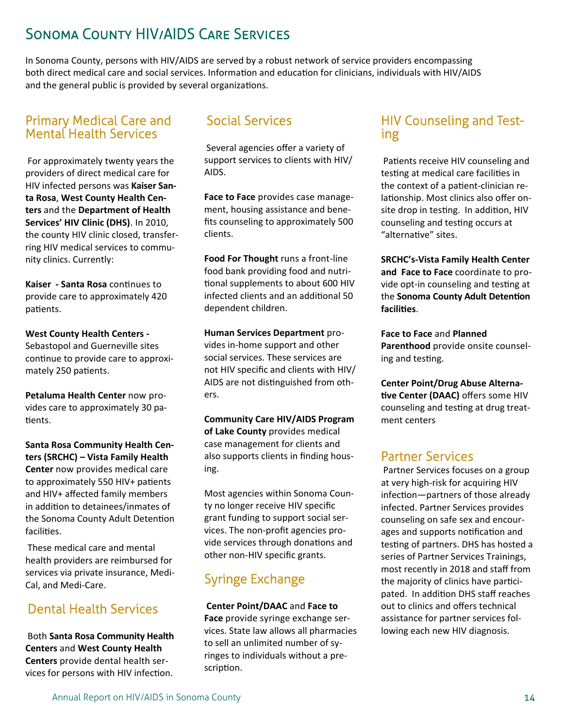# Sonoma County HIV/AIDS Care Services

In Sonoma County, persons with HIV/AIDS are served by a robust network of service providers encompassing both direct medical care and social services. Information and education for clinicians, individuals with HIV/AIDS and the general public is provided by several organizations.

### Primary Medical Care and Mental Health Services

For approximately twenty years the providers of direct medical care for HIV infected persons was **Kaiser San‐ ta Rosa**, **West County Health Cen‐ ters** and the **Department of Health Services' HIV Clinic (DHS)**. In 2010, the county HIV clinic closed, transfer‐ ring HIV medical services to commu‐ nity clinics. Currently:

**Kaiser ‐ Santa Rosa** conƟnues to provide care to approximately 420 patients.

**West County Health Centers ‐** Sebastopol and Guerneville sites continue to provide care to approximately 250 patients.

**Petaluma Health Center** now pro‐ vides care to approximately 30 pa‐ tients.

**Santa Rosa Community Health Cen‐ ters (SRCHC) – Vista Family Health Center** now provides medical care to approximately 550 HIV+ patients and HIV+ affected family members in addition to detainees/inmates of the Sonoma County Adult Detention facilities.

 These medical care and mental health providers are reimbursed for services via private insurance, Medi‐ Cal, and Medi‐Care.

## Dental Health Services

Both **Santa Rosa Community Health Centers** and **West County Health Centers** provide dental health ser‐ vices for persons with HIV infection.

### Social Services

Several agencies offer a variety of support services to clients with HIV/ AIDS.

**Face to Face** provides case manage‐ ment, housing assistance and bene‐ fits counseling to approximately 500 clients.

**Food For Thought** runs a front‐line food bank providing food and nutri‐ tional supplements to about 600 HIV infected clients and an additional 50 dependent children.

#### **Human Services Department** pro‐ vides in‐home support and other social services. These services are not HIV specific and clients with HIV/ AIDS are not distinguished from others.

**Community Care HIV/AIDS Program of Lake County** provides medical case management for clients and also supports clients in finding hous‐ ing.

Most agencies within Sonoma Coun‐ ty no longer receive HIV specific grant funding to support social ser‐ vices. The non‐profit agencies pro‐ vide services through donations and other non‐HIV specific grants.

# Syringe Exchange

**Center Point/DAAC** and **Face to Face** provide syringe exchange ser‐ vices. State law allows all pharmacies to sell an unlimited number of sy‐ ringes to individuals without a pre‐ scription.

### HIV Counseling and Testing

Patients receive HIV counseling and testing at medical care facilities in the context of a patient-clinician relationship. Most clinics also offer onsite drop in testing. In addition, HIV counseling and testing occurs at "alternative" sites.

**SRCHC's‐Vista Family Health Center and Face to Face** coordinate to pro‐ vide opt-in counseling and testing at **the Sonoma County Adult Detention faciliƟes**.

**Face to Face** and **Planned Parenthood** provide onsite counsel‐ ing and testing.

**Center Point/Drug Abuse Alterna‐ Ɵve Center (DAAC)** offers some HIV counseling and testing at drug treatment centers

### Partner Services

Partner Services focuses on a group at very high‐risk for acquiring HIV infection—partners of those already infected. Partner Services provides counseling on safe sex and encour‐ ages and supports notification and testing of partners. DHS has hosted a series of Partner Services Trainings, most recently in 2018 and staff from the majority of clinics have participated. In addition DHS staff reaches out to clinics and offers technical assistance for partner services fol‐ lowing each new HIV diagnosis.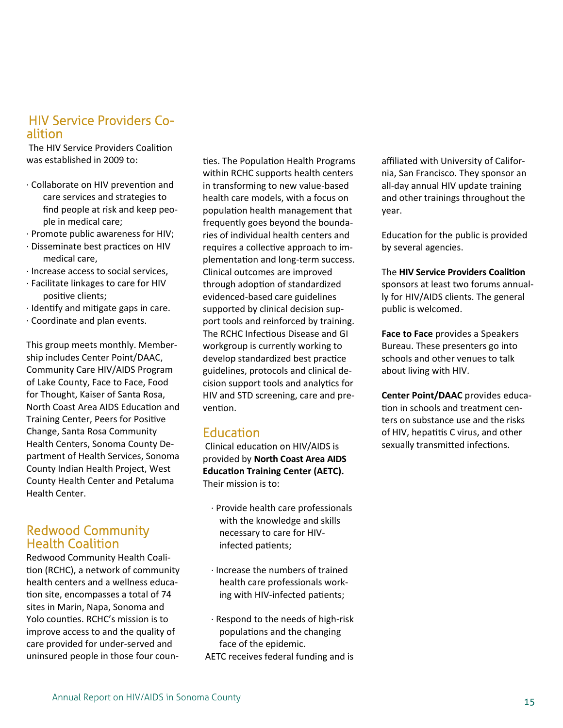#### HIV Service Providers Coalition

The HIV Service Providers Coalition was established in 2009 to:

- · Collaborate on HIV prevenƟon and care services and strategies to find people at risk and keep peo‐ ple in medical care;
- · Promote public awareness for HIV;
- · Disseminate best pracƟces on HIV medical care,
- · Increase access to social services,
- · Facilitate linkages to care for HIV positive clients;
- · Identify and mitigate gaps in care.
- · Coordinate and plan events.

This group meets monthly. Member‐ ship includes Center Point/DAAC, Community Care HIV/AIDS Program of Lake County, Face to Face, Food for Thought, Kaiser of Santa Rosa, North Coast Area AIDS Education and Training Center, Peers for Positive Change, Santa Rosa Community Health Centers, Sonoma County De‐ partment of Health Services, Sonoma County Indian Health Project, West County Health Center and Petaluma Health Center.

#### Redwood Community Health Coalition

Redwood Community Health Coali‐ tion (RCHC), a network of community health centers and a wellness educa‐ tion site, encompasses a total of 74 sites in Marin, Napa, Sonoma and Yolo counties. RCHC's mission is to improve access to and the quality of care provided for under‐served and uninsured people in those four coun‐

ties. The Population Health Programs within RCHC supports health centers in transforming to new value‐based health care models, with a focus on population health management that frequently goes beyond the bounda‐ ries of individual health centers and requires a collective approach to implementation and long-term success. Clinical outcomes are improved through adoption of standardized evidenced‐based care guidelines supported by clinical decision sup‐ port tools and reinforced by training. The RCHC Infectious Disease and GI workgroup is currently working to develop standardized best practice guidelines, protocols and clinical de‐ cision support tools and analytics for HIV and STD screening, care and pre‐ vention.

### Education

Clinical education on HIV/AIDS is provided by **North Coast Area AIDS Education Training Center (AETC).** Their mission is to:

- · Provide health care professionals with the knowledge and skills necessary to care for HIV‐ infected patients;
- · Increase the numbers of trained health care professionals work‐ ing with HIV-infected patients;
- · Respond to the needs of high‐risk populations and the changing face of the epidemic.
- AETC receives federal funding and is

affiliated with University of Califor‐ nia, San Francisco. They sponsor an all-day annual HIV update training and other trainings throughout the year.

Education for the public is provided by several agencies.

#### **The HIV Service Providers Coalition**

sponsors at least two forums annual‐ ly for HIV/AIDS clients. The general public is welcomed.

**Face to Face** provides a Speakers Bureau. These presenters go into schools and other venues to talk about living with HIV.

**Center Point/DAAC** provides educa‐ tion in schools and treatment centers on substance use and the risks of HIV, hepatitis C virus, and other sexually transmitted infections.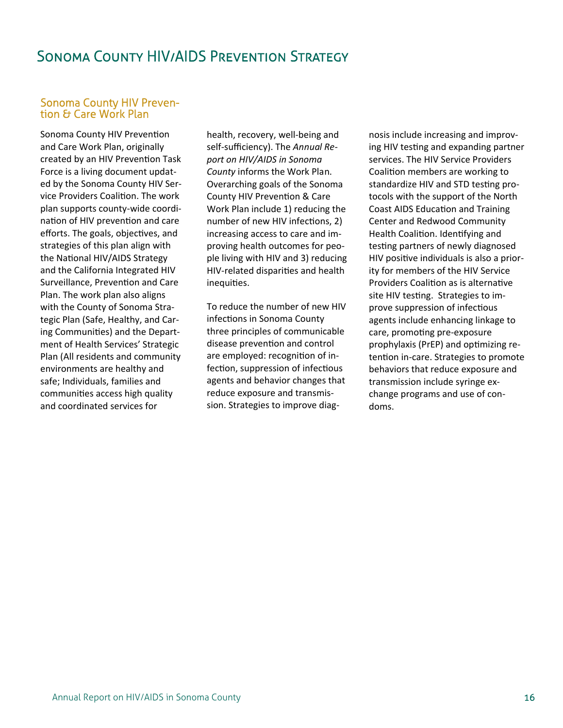### **SONOMA COUNTY HIV/AIDS PREVENTION STRATEGY**

#### **Sonoma County HIV Preven**tion & Care Work Plan

Sonoma County HIV Prevention and Care Work Plan, originally created by an HIV Prevention Task Force is a living document updated by the Sonoma County HIV Service Providers Coalition. The work plan supports county-wide coordination of HIV prevention and care efforts. The goals, objectives, and strategies of this plan align with the National HIV/AIDS Strategy and the California Integrated HIV Surveillance, Prevention and Care Plan. The work plan also aligns with the County of Sonoma Strategic Plan (Safe, Healthy, and Caring Communities) and the Department of Health Services' Strategic Plan (All residents and community environments are healthy and safe; Individuals, families and communities access high quality and coordinated services for

health, recovery, well-being and self-sufficiency). The Annual Report on HIV/AIDS in Sonoma County informs the Work Plan. Overarching goals of the Sonoma County HIV Prevention & Care Work Plan include 1) reducing the number of new HIV infections, 2) increasing access to care and improving health outcomes for people living with HIV and 3) reducing HIV-related disparities and health inequities.

To reduce the number of new HIV infections in Sonoma County three principles of communicable disease prevention and control are employed: recognition of infection, suppression of infectious agents and behavior changes that reduce exposure and transmission. Strategies to improve diag-

nosis include increasing and improving HIV testing and expanding partner services. The HIV Service Providers Coalition members are working to standardize HIV and STD testing protocols with the support of the North **Coast AIDS Education and Training** Center and Redwood Community Health Coalition. Identifying and testing partners of newly diagnosed HIV positive individuals is also a priority for members of the HIV Service Providers Coalition as is alternative site HIV testing. Strategies to improve suppression of infectious agents include enhancing linkage to care, promoting pre-exposure prophylaxis (PrEP) and optimizing retention in-care. Strategies to promote behaviors that reduce exposure and transmission include syringe exchange programs and use of condoms.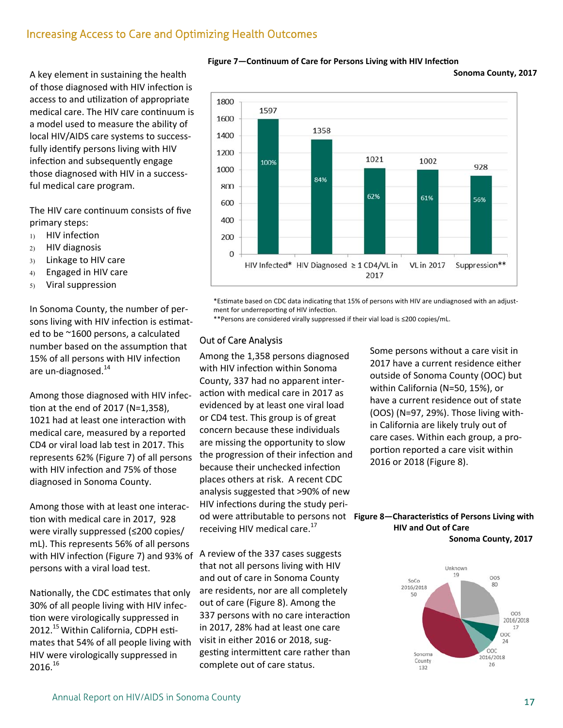### Increasing Access to Care and Optimizing Health Outcomes

A key element in sustaining the health of those diagnosed with HIV infection is access to and utilization of appropriate medical care. The HIV care continuum is a model used to measure the ability of local HIV/AIDS care systems to success‐ fully identify persons living with HIV infection and subsequently engage those diagnosed with HIV in a success‐ ful medical care program.

The HIV care continuum consists of five primary steps:

- $D$  HIV infection
- HIV diagnosis
- 3) Linkage to HIV care
- Engaged in HIV care
- Viral suppression

In Sonoma County, the number of per‐ sons living with HIV infection is estimated to be ~1600 persons, a calculated number based on the assumption that 15% of all persons with HIV infection are un-diagnosed.<sup>14</sup>

Among those diagnosed with HIV infec‐ tion at the end of 2017 (N=1,358), 1021 had at least one interaction with medical care, measured by a reported CD4 or viral load lab test in 2017. This represents 62% (Figure 7) of all persons with HIV infection and 75% of those diagnosed in Sonoma County.

Among those with at least one interac‐ tion with medical care in 2017, 928 were virally suppressed (≤200 copies/ mL). This represents 56% of all persons with HIV infection (Figure 7) and 93% of A review of the 337 cases suggests persons with a viral load test.

Nationally, the CDC estimates that only 30% of all people living with HIV infec‐ tion were virologically suppressed in 2012.<sup>15</sup> Within California, CDPH estimates that 54% of all people living with HIV were virologically suppressed in  $2016.<sup>16</sup>$ 



**Figure 7–Continuum of Care for Persons Living with HIV Infection** 

**Sonoma County, 2017** 

\*Estimate based on CDC data indicating that 15% of persons with HIV are undiagnosed with an adjustment for underreporting of HIV infection.

\*\*Persons are considered virally suppressed if their vial load is ≤200 copies/mL.

#### Out of Care Analysis

Among the 1,358 persons diagnosed with HIV infection within Sonoma County, 337 had no apparent inter‐ action with medical care in 2017 as evidenced by at least one viral load or CD4 test. This group is of great concern because these individuals are missing the opportunity to slow the progression of their infection and because their unchecked infection places others at risk. A recent CDC analysis suggested that >90% of new HIV infections during the study perireceiving HIV medical care. $^{17}$ 

that not all persons living with HIV and out of care in Sonoma County are residents, nor are all completely out of care (Figure 8). Among the 337 persons with no care interaction in 2017, 28% had at least one care visit in either 2016 or 2018, sug‐ gesting intermittent care rather than complete out of care status.

Some persons without a care visit in 2017 have a current residence either outside of Sonoma County (OOC) but within California (N=50, 15%), or have a current residence out of state (OOS) (N=97, 29%). Those living with‐ in California are likely truly out of care cases. Within each group, a pro‐ portion reported a care visit within 2016 or 2018 (Figure 8).

#### od were attributable to persons not Figure 8-Characteristics of Persons Living with  **HIV and Out of Care Sonoma County, 2017**

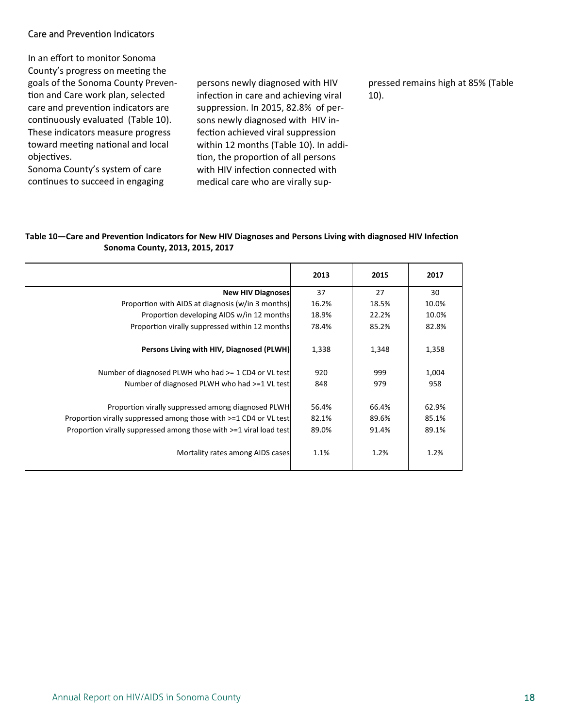#### Care and Prevention Indicators

In an effort to monitor Sonoma County's progress on meeting the goals of the Sonoma County Preven‐ tion and Care work plan, selected care and prevention indicators are continuously evaluated (Table 10). These indicators measure progress toward meeting national and local objectives.

Sonoma County's system of care continues to succeed in engaging persons newly diagnosed with HIV infection in care and achieving viral suppression. In 2015, 82.8% of per‐ sons newly diagnosed with HIV in‐ fection achieved viral suppression within 12 months (Table 10). In addi‐ tion, the proportion of all persons with HIV infection connected with medical care who are virally sup‐

pressed remains high at 85% (Table 10).

#### Table 10—Care and Prevention Indicators for New HIV Diagnoses and Persons Living with diagnosed HIV Infection  **Sonoma County, 2013, 2015, 2017**

|                                                                      | 2013  | 2015  | 2017  |
|----------------------------------------------------------------------|-------|-------|-------|
| <b>New HIV Diagnoses</b>                                             | 37    | 27    | 30    |
| Proportion with AIDS at diagnosis (w/in 3 months)                    | 16.2% | 18.5% | 10.0% |
| Proportion developing AIDS w/in 12 months                            | 18.9% | 22.2% | 10.0% |
| Proportion virally suppressed within 12 months                       | 78.4% | 85.2% | 82.8% |
| Persons Living with HIV, Diagnosed (PLWH)                            | 1,338 | 1,348 | 1,358 |
| Number of diagnosed PLWH who had >= 1 CD4 or VL test                 | 920   | 999   | 1,004 |
| Number of diagnosed PLWH who had >=1 VL test                         | 848   | 979   | 958   |
| Proportion virally suppressed among diagnosed PLWH                   | 56.4% | 66.4% | 62.9% |
| Proportion virally suppressed among those with $>=1$ CD4 or VL test  | 82.1% | 89.6% | 85.1% |
| Proportion virally suppressed among those with $>=1$ viral load test | 89.0% | 91.4% | 89.1% |
| Mortality rates among AIDS cases                                     | 1.1%  | 1.2%  | 1.2%  |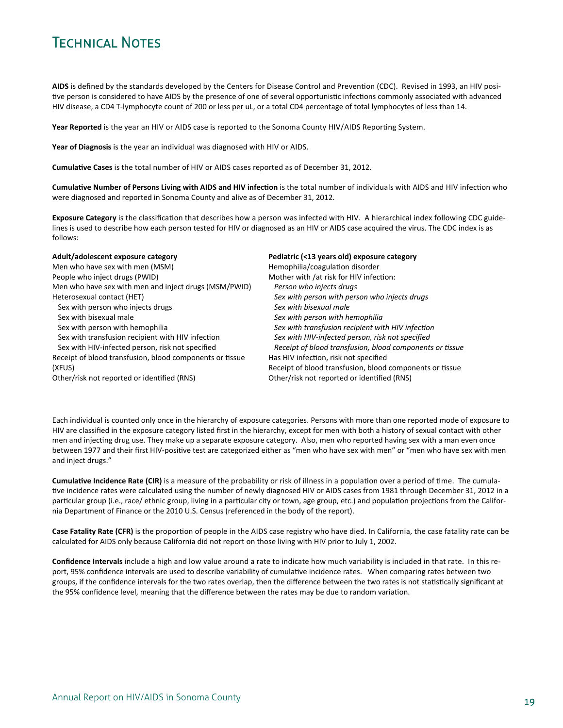# Technical Notes

AIDS is defined by the standards developed by the Centers for Disease Control and Prevention (CDC). Revised in 1993, an HIV positive person is considered to have AIDS by the presence of one of several opportunistic infections commonly associated with advanced HIV disease, a CD4 T-lymphocyte count of 200 or less per uL, or a total CD4 percentage of total lymphocytes of less than 14.

Year Reported is the year an HIV or AIDS case is reported to the Sonoma County HIV/AIDS Reporting System.

**Year of Diagnosis** is the year an individual was diagnosed with HIV or AIDS.

**CumulaƟve Cases** is the total number of HIV or AIDS cases reported as of December 31, 2012.

**CumulaƟve Number of Persons Living with AIDS and HIV infecƟon** is the total number of individuals with AIDS and HIV infecƟon who were diagnosed and reported in Sonoma County and alive as of December 31, 2012.

Exposure Category is the classification that describes how a person was infected with HIV. A hierarchical index following CDC guidelines is used to describe how each person tested for HIV or diagnosed as an HIV or AIDS case acquired the virus. The CDC index is as follows:

| Adult/adolescent exposure category                       | Pediatric (<13 years old) exposure category              |
|----------------------------------------------------------|----------------------------------------------------------|
| Men who have sex with men (MSM)                          | Hemophilia/coagulation disorder                          |
| People who inject drugs (PWID)                           | Mother with /at risk for HIV infection:                  |
| Men who have sex with men and inject drugs (MSM/PWID)    | Person who injects drugs                                 |
| Heterosexual contact (HET)                               | Sex with person with person who injects drugs            |
| Sex with person who injects drugs                        | Sex with bisexual male                                   |
| Sex with bisexual male                                   | Sex with person with hemophilia                          |
| Sex with person with hemophilia                          | Sex with transfusion recipient with HIV infection        |
| Sex with transfusion recipient with HIV infection        | Sex with HIV-infected person, risk not specified         |
| Sex with HIV-infected person, risk not specified         | Receipt of blood transfusion, blood components or tissue |
| Receipt of blood transfusion, blood components or tissue | Has HIV infection, risk not specified                    |
| (XFUS)                                                   | Receipt of blood transfusion, blood components or tissue |
| Other/risk not reported or identified (RNS)              | Other/risk not reported or identified (RNS)              |

Each individual is counted only once in the hierarchy of exposure categories. Persons with more than one reported mode of exposure to HIV are classified in the exposure category listed first in the hierarchy, except for men with both a history of sexual contact with other men and injecting drug use. They make up a separate exposure category. Also, men who reported having sex with a man even once between 1977 and their first HIV-positive test are categorized either as "men who have sex with men" or "men who have sex with men and inject drugs."

**Cumulative Incidence Rate (CIR)** is a measure of the probability or risk of illness in a population over a period of time. The cumulative incidence rates were calculated using the number of newly diagnosed HIV or AIDS cases from 1981 through December 31, 2012 in a particular group (i.e., race/ ethnic group, living in a particular city or town, age group, etc.) and population projections from the California Department of Finance or the 2010 U.S. Census (referenced in the body of the report).

Case Fatality Rate (CFR) is the proportion of people in the AIDS case registry who have died. In California, the case fatality rate can be calculated for AIDS only because California did not report on those living with HIV prior to July 1, 2002.

**Confidence Intervals** include a high and low value around a rate to indicate how much variability is included in that rate. In this re‐ port, 95% confidence intervals are used to describe variability of cumulative incidence rates. When comparing rates between two groups, if the confidence intervals for the two rates overlap, then the difference between the two rates is not statistically significant at the 95% confidence level, meaning that the difference between the rates may be due to random variation.